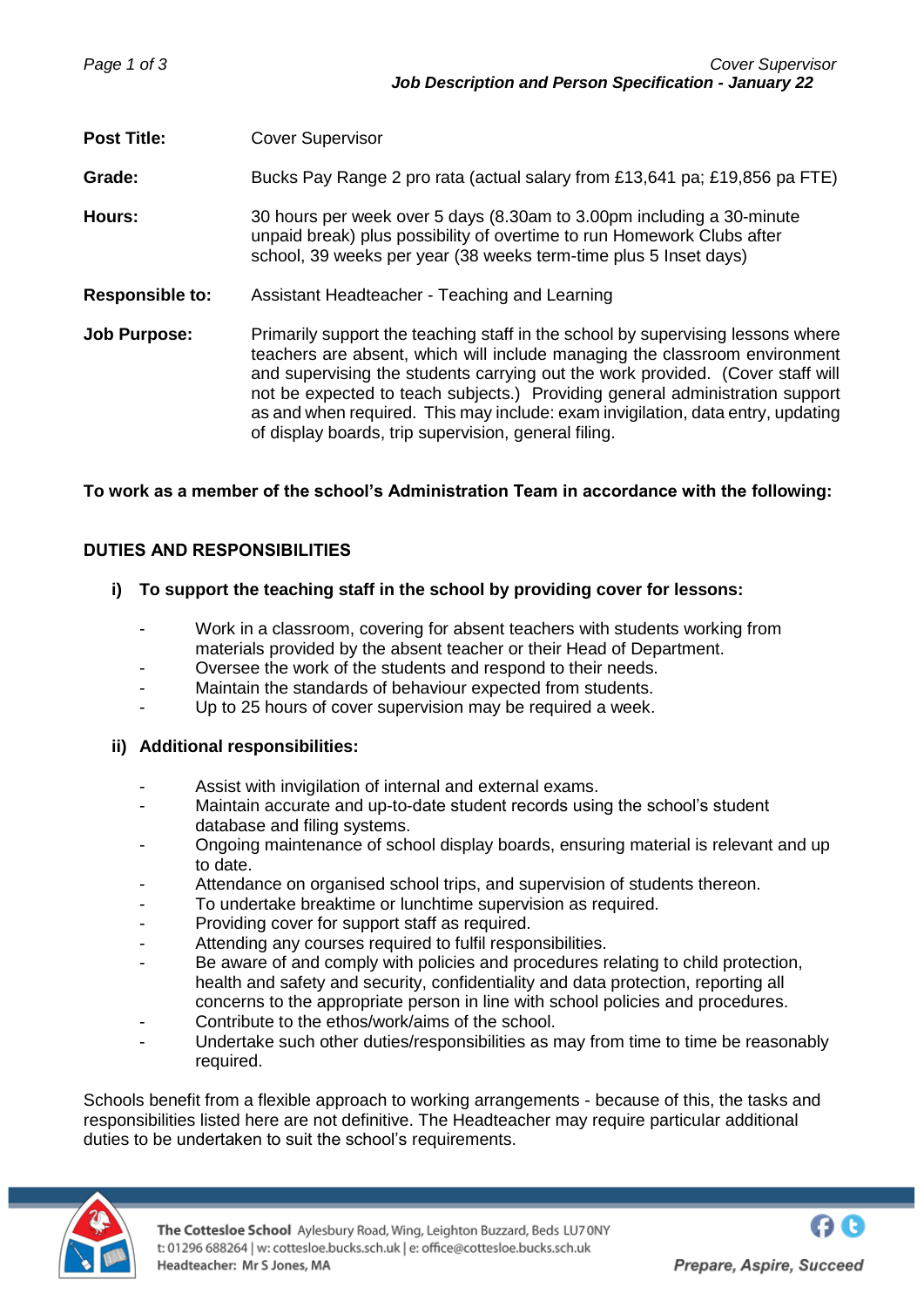**Post Title:** Cover Supervisor **Grade:** Bucks Pay Range 2 pro rata (actual salary from £13,641 pa; £19,856 pa FTE) **Hours:** 30 hours per week over 5 days (8.30am to 3.00pm including a 30-minute unpaid break) plus possibility of overtime to run Homework Clubs after school, 39 weeks per year (38 weeks term-time plus 5 Inset days) **Responsible to:** Assistant Headteacher - Teaching and Learning **Job Purpose:** Primarily support the teaching staff in the school by supervising lessons where teachers are absent, which will include managing the classroom environment and supervising the students carrying out the work provided. (Cover staff will not be expected to teach subjects.) Providing general administration support as and when required. This may include: exam invigilation, data entry, updating of display boards, trip supervision, general filing.

## **To work as a member of the school's Administration Team in accordance with the following:**

# **DUTIES AND RESPONSIBILITIES**

## **i) To support the teaching staff in the school by providing cover for lessons:**

- Work in a classroom, covering for absent teachers with students working from materials provided by the absent teacher or their Head of Department.
- Oversee the work of the students and respond to their needs.
- Maintain the standards of behaviour expected from students.
- Up to 25 hours of cover supervision may be required a week.

## **ii) Additional responsibilities:**

- Assist with invigilation of internal and external exams.
- Maintain accurate and up-to-date student records using the school's student database and filing systems.
- Ongoing maintenance of school display boards, ensuring material is relevant and up to date.
- Attendance on organised school trips, and supervision of students thereon.
- To undertake breaktime or lunchtime supervision as required.
- Providing cover for support staff as required.
- Attending any courses required to fulfil responsibilities.
- Be aware of and comply with policies and procedures relating to child protection, health and safety and security, confidentiality and data protection, reporting all concerns to the appropriate person in line with school policies and procedures.
- Contribute to the ethos/work/aims of the school.
- Undertake such other duties/responsibilities as may from time to time be reasonably required.

Schools benefit from a flexible approach to working arrangements - because of this, the tasks and responsibilities listed here are not definitive. The Headteacher may require particular additional duties to be undertaken to suit the school's requirements.

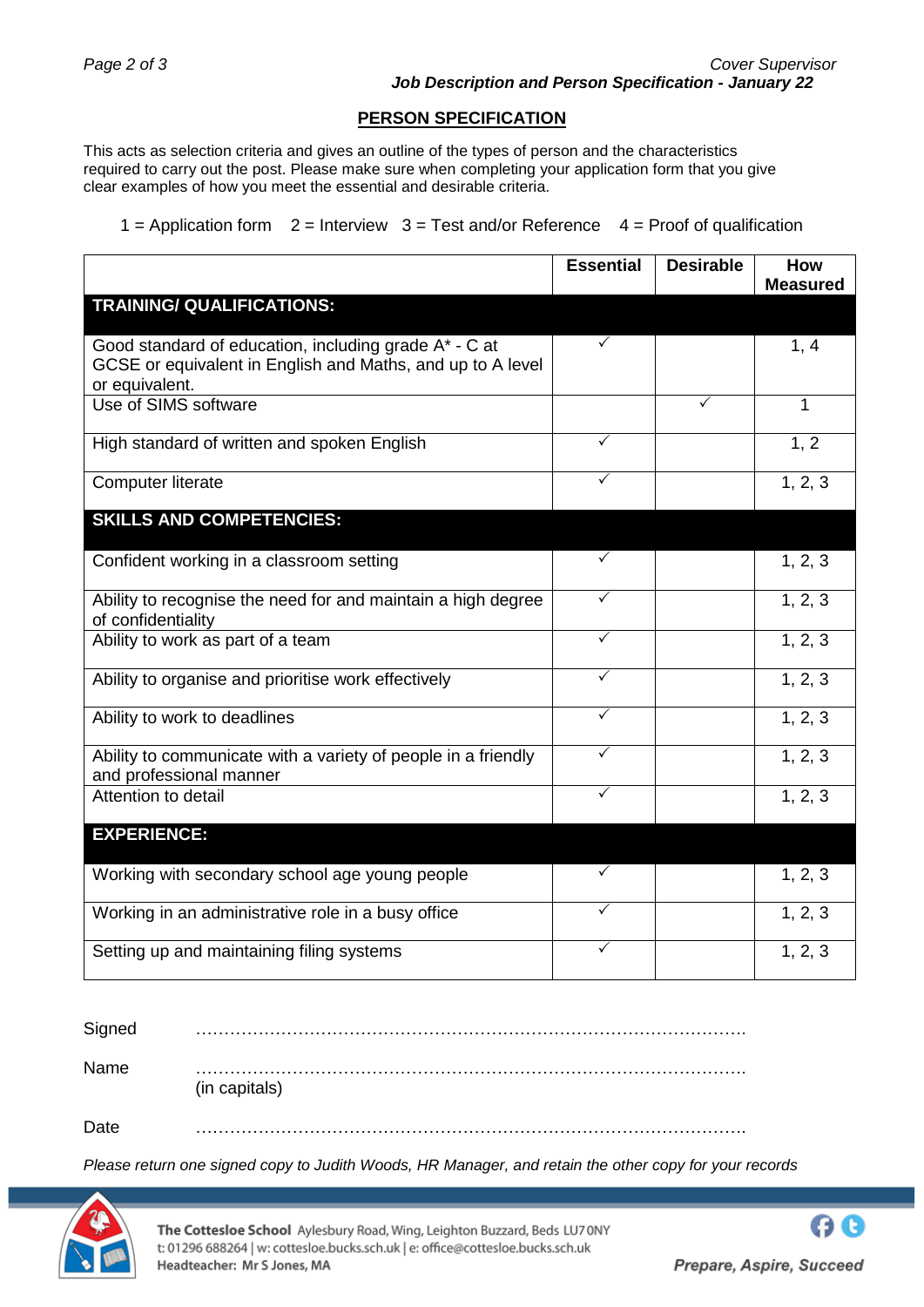### **PERSON SPECIFICATION**

This acts as selection criteria and gives an outline of the types of person and the characteristics required to carry out the post. Please make sure when completing your application form that you give clear examples of how you meet the essential and desirable criteria.

 $1 =$  Application form  $2 =$  Interview  $3 =$  Test and/or Reference  $4 =$  Proof of qualification

|                                                                                                                                       | <b>Essential</b> | <b>Desirable</b> | How             |
|---------------------------------------------------------------------------------------------------------------------------------------|------------------|------------------|-----------------|
|                                                                                                                                       |                  |                  | <b>Measured</b> |
| <b>TRAINING/ QUALIFICATIONS:</b>                                                                                                      |                  |                  |                 |
| Good standard of education, including grade A* - C at<br>GCSE or equivalent in English and Maths, and up to A level<br>or equivalent. | $\checkmark$     |                  | 1, 4            |
| Use of SIMS software                                                                                                                  |                  | $\checkmark$     | 1               |
| High standard of written and spoken English                                                                                           | ✓                |                  | 1, 2            |
| <b>Computer literate</b>                                                                                                              | ✓                |                  | 1, 2, 3         |
| <b>SKILLS AND COMPETENCIES:</b>                                                                                                       |                  |                  |                 |
| Confident working in a classroom setting                                                                                              | $\checkmark$     |                  | 1, 2, 3         |
| Ability to recognise the need for and maintain a high degree<br>of confidentiality                                                    | $\checkmark$     |                  | 1, 2, 3         |
| Ability to work as part of a team                                                                                                     | $\checkmark$     |                  | 1, 2, 3         |
| Ability to organise and prioritise work effectively                                                                                   | $\checkmark$     |                  | 1, 2, 3         |
| Ability to work to deadlines                                                                                                          | ✓                |                  | 1, 2, 3         |
| Ability to communicate with a variety of people in a friendly<br>and professional manner                                              | $\checkmark$     |                  | 1, 2, 3         |
| Attention to detail                                                                                                                   | $\checkmark$     |                  | 1, 2, 3         |
| <b>EXPERIENCE:</b>                                                                                                                    |                  |                  |                 |
| Working with secondary school age young people                                                                                        | $\checkmark$     |                  | 1, 2, 3         |
| Working in an administrative role in a busy office                                                                                    | $\checkmark$     |                  | 1, 2, 3         |
| Setting up and maintaining filing systems                                                                                             | ✓                |                  | 1, 2, 3         |

| Signed |               |
|--------|---------------|
| Name   | (in capitals) |
| Date   |               |

*Please return one signed copy to Judith Woods, HR Manager, and retain the other copy for your records*



The Cottesloe School Aylesbury Road, Wing, Leighton Buzzard, Beds LU70NY t: 01296 688264 | w: cottesloe.bucks.sch.uk | e: office@cottesloe.bucks.sch.uk Headteacher: Mr S Jones, MA